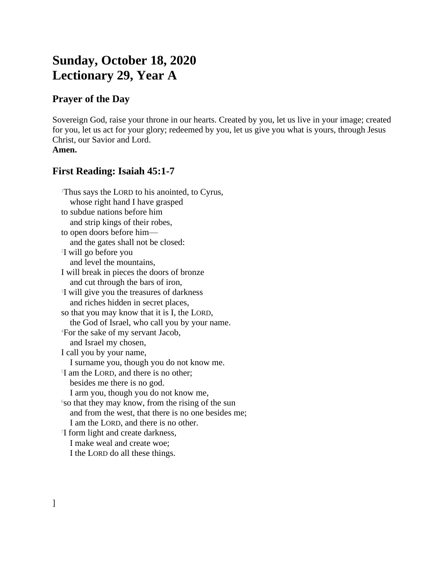# **Sunday, October 18, 2020 Lectionary 29, Year A**

## **Prayer of the Day**

Sovereign God, raise your throne in our hearts. Created by you, let us live in your image; created for you, let us act for your glory; redeemed by you, let us give you what is yours, through Jesus Christ, our Savior and Lord. **Amen.**

### **First Reading: Isaiah 45:1-7**